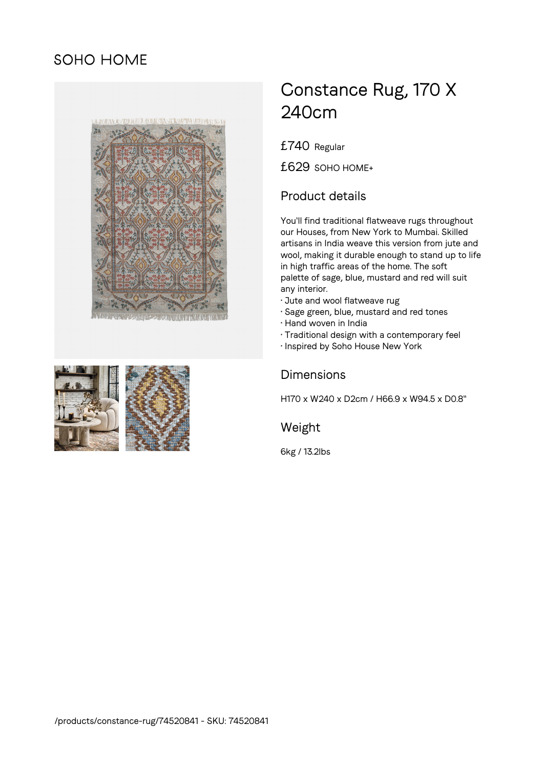# SOHO HOME





# Constance Rug, 170 X 240cm

£740 Regular

£629 SOHO HOME+

## Product details

You'll find traditional flatweave rugs throughout our Houses, from New York to Mumbai. Skilled artisans in India weave this version from jute and wool, making it durable enough to stand up to life in high traffic areas of the home. The soft palette of sage, blue, mustard and red will suit any interior.

- Jute and wool flatweave rug
- Sage green, blue, mustard and red tones
- Hand woven in India
- Traditional design with a contemporary feel
- Inspired by Soho House New York

#### Dimensions

H170 x W240 x D2cm / H66.9 x W94.5 x D0.8"

Weight

6kg / 13.2lbs